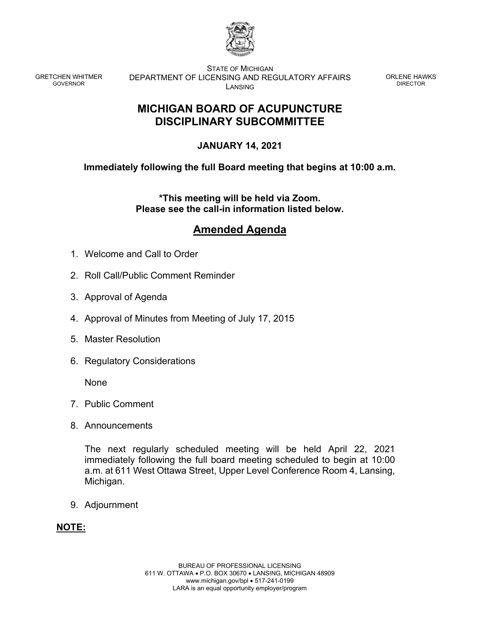

GRETCHEN WHITMER GOVERNOR

STATE OF MICHIGAN DEPARTMENT OF LICENSING AND REGULATORY AFFAIRS LANSING

ORLENE HAWKS DIRECTOR

# **MICHIGAN BOARD OF ACUPUNCTURE DISCIPLINARY SUBCOMMITTEE**

## **JANUARY 14, 2021**

### **Immediately following the full Board meeting that begins at 10:00 a.m.**

**\*This meeting will be held via Zoom. Please see the call-in information listed below.** 

# **Amended Agenda**

- 1. Welcome and Call to Order
- 2. Roll Call/Public Comment Reminder
- 3. Approval of Agenda
- 4. Approval of Minutes from Meeting of July 17, 2015
- 5. Master Resolution
- 6. Regulatory Considerations

None

- 7. Public Comment
- 8. Announcements

The next regularly scheduled meeting will be held April 22, 2021 immediately following the full board meeting scheduled to begin at 10:00 a.m. at 611 West Ottawa Street, Upper Level Conference Room 4, Lansing, Michigan.

9. Adjournment

### **NOTE:**